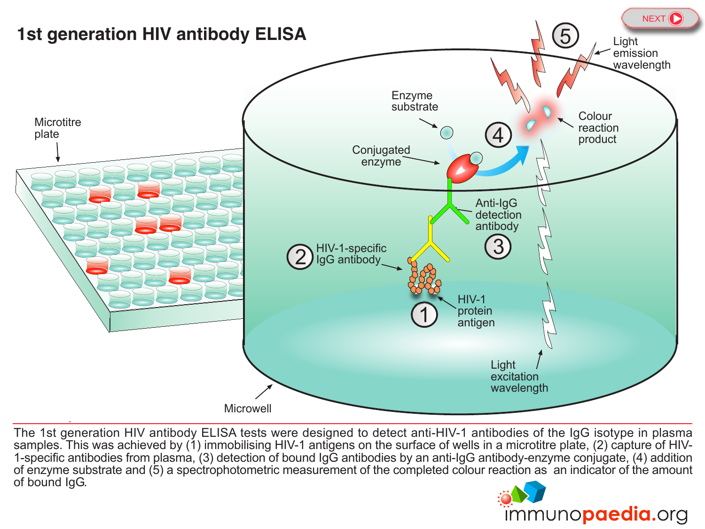<span id="page-0-0"></span>

The 1st generation HIV antibody ELISA tests were designed to detect anti-HIV-1 antibodies of the IgG isotype in plasma samples. This was achieved by (1) immobilising HIV-1 antigens on the surface of wells in a microtitre plate, (2) capture of HIV-<br>1-specific antibodies from plasma, (3) detection of bound IgG antibodies by an anti-IgG antib of enzyme substrate and (5) a spectrophotometric measurement of the completed colour reaction as an [indicator](http://www.immunopaedia.org.za) of the amount of bound IgG.

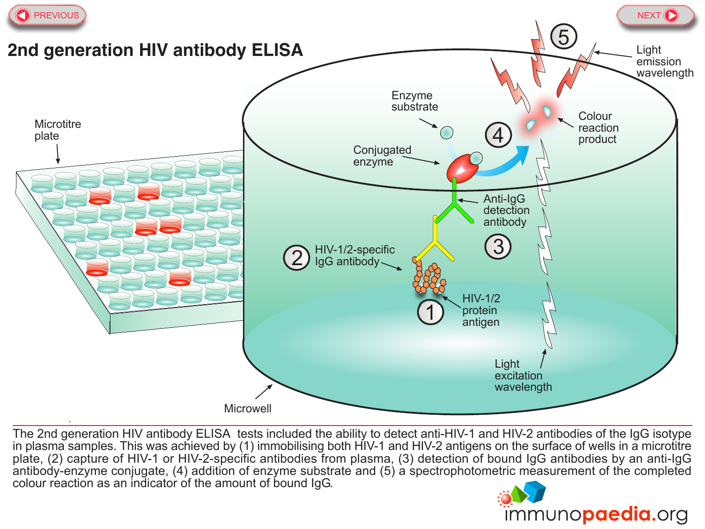<span id="page-1-0"></span>

The 2nd generation HIV antibody ELISA tests included the ability to detect anti-HIV-1 and HIV-2 antibodies of the IgG isotype in plasma samples. This was achieved by (1) immobilising both HIV-1 and HIV-2 antigens on the surface of wells in a microtitre plate, (2) capture of HIV-1 or HIV-2-specific antibodies from plasma, (3) detection of bound IgG antibodies by an anti-IgG antibody-enzyme conjugate, (4) addition of enzyme substrate and (5) a spectrophotometric measurement of the completed colour reaction as an indicator of the amount of bound IgG.

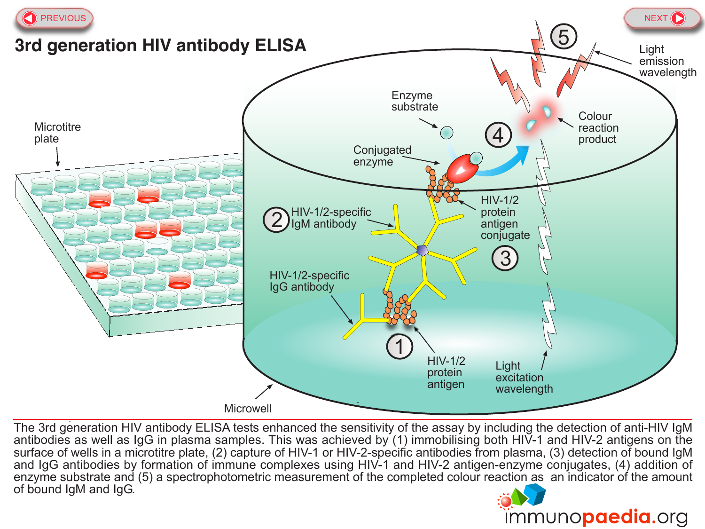<span id="page-2-0"></span>

The 3rd generation HIV antibody ELISA tests enhanced the sensitivity of the assay by including the detection of anti-HIV IgM antibodies as well as IgG in plasma samples. This was achieved by (1) immobilising both HIV-1 and HIV-2 antigens on the surface of wells in a microtitre plate, (2) capture of HIV-1 or HIV-2-specific antibodies from plasma, (3) detection of bound IgM and IgG antibodies by formation of immune complexes using HIV-1 and HIV-2 antigen-enzyme conjugates, (4) addition of enzyme substrate and (5) a spectrophotometric measurement of the completed colour reaction as an [indicator](http://www.immunopaedia.org.za) of the amount of bound IgM and IgG.